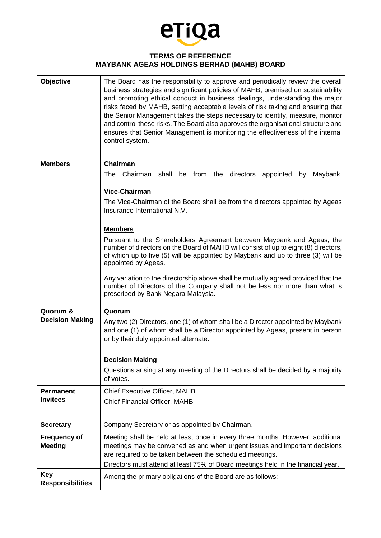

## **TERMS OF REFERENCE MAYBANK AGEAS HOLDINGS BERHAD (MAHB) BOARD**

| <b>Objective</b>                      | The Board has the responsibility to approve and periodically review the overall<br>business strategies and significant policies of MAHB, premised on sustainability<br>and promoting ethical conduct in business dealings, understanding the major<br>risks faced by MAHB, setting acceptable levels of risk taking and ensuring that<br>the Senior Management takes the steps necessary to identify, measure, monitor<br>and control these risks. The Board also approves the organisational structure and<br>ensures that Senior Management is monitoring the effectiveness of the internal<br>control system. |
|---------------------------------------|------------------------------------------------------------------------------------------------------------------------------------------------------------------------------------------------------------------------------------------------------------------------------------------------------------------------------------------------------------------------------------------------------------------------------------------------------------------------------------------------------------------------------------------------------------------------------------------------------------------|
| <b>Members</b>                        | <b>Chairman</b>                                                                                                                                                                                                                                                                                                                                                                                                                                                                                                                                                                                                  |
|                                       | The Chairman shall be from the directors appointed by<br>Maybank.                                                                                                                                                                                                                                                                                                                                                                                                                                                                                                                                                |
|                                       | Vice-Chairman                                                                                                                                                                                                                                                                                                                                                                                                                                                                                                                                                                                                    |
|                                       | The Vice-Chairman of the Board shall be from the directors appointed by Ageas<br>Insurance International N.V.                                                                                                                                                                                                                                                                                                                                                                                                                                                                                                    |
|                                       | <b>Members</b>                                                                                                                                                                                                                                                                                                                                                                                                                                                                                                                                                                                                   |
|                                       | Pursuant to the Shareholders Agreement between Maybank and Ageas, the<br>number of directors on the Board of MAHB will consist of up to eight (8) directors,<br>of which up to five (5) will be appointed by Maybank and up to three (3) will be<br>appointed by Ageas.                                                                                                                                                                                                                                                                                                                                          |
|                                       | Any variation to the directorship above shall be mutually agreed provided that the<br>number of Directors of the Company shall not be less nor more than what is<br>prescribed by Bank Negara Malaysia.                                                                                                                                                                                                                                                                                                                                                                                                          |
| Quorum &<br><b>Decision Making</b>    | <b>Quorum</b><br>Any two (2) Directors, one (1) of whom shall be a Director appointed by Maybank<br>and one (1) of whom shall be a Director appointed by Ageas, present in person<br>or by their duly appointed alternate.                                                                                                                                                                                                                                                                                                                                                                                       |
|                                       | <b>Decision Making</b>                                                                                                                                                                                                                                                                                                                                                                                                                                                                                                                                                                                           |
|                                       | Questions arising at any meeting of the Directors shall be decided by a majority<br>of votes.                                                                                                                                                                                                                                                                                                                                                                                                                                                                                                                    |
| <b>Permanent</b><br><b>Invitees</b>   | Chief Executive Officer, MAHB<br><b>Chief Financial Officer, MAHB</b>                                                                                                                                                                                                                                                                                                                                                                                                                                                                                                                                            |
| <b>Secretary</b>                      | Company Secretary or as appointed by Chairman.                                                                                                                                                                                                                                                                                                                                                                                                                                                                                                                                                                   |
| <b>Frequency of</b><br><b>Meeting</b> | Meeting shall be held at least once in every three months. However, additional<br>meetings may be convened as and when urgent issues and important decisions<br>are required to be taken between the scheduled meetings.                                                                                                                                                                                                                                                                                                                                                                                         |
| <b>Key</b>                            | Directors must attend at least 75% of Board meetings held in the financial year.                                                                                                                                                                                                                                                                                                                                                                                                                                                                                                                                 |
| <b>Responsibilities</b>               | Among the primary obligations of the Board are as follows:-                                                                                                                                                                                                                                                                                                                                                                                                                                                                                                                                                      |